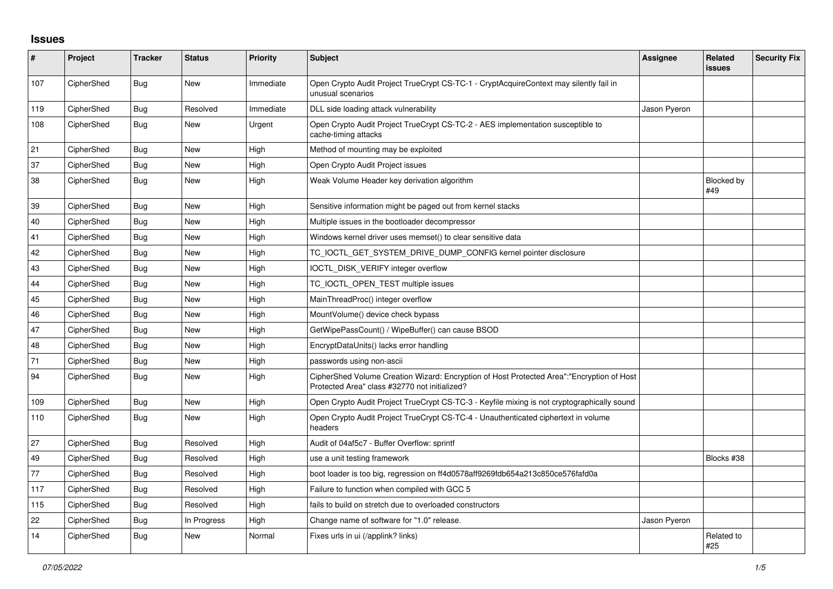## **Issues**

| #   | Project    | <b>Tracker</b> | <b>Status</b> | Priority  | <b>Subject</b>                                                                                                                             | <b>Assignee</b> | Related<br>issues | <b>Security Fix</b> |
|-----|------------|----------------|---------------|-----------|--------------------------------------------------------------------------------------------------------------------------------------------|-----------------|-------------------|---------------------|
| 107 | CipherShed | <b>Bug</b>     | <b>New</b>    | Immediate | Open Crypto Audit Project TrueCrypt CS-TC-1 - CryptAcquireContext may silently fail in<br>unusual scenarios                                |                 |                   |                     |
| 119 | CipherShed | Bug            | Resolved      | Immediate | DLL side loading attack vulnerability                                                                                                      | Jason Pyeron    |                   |                     |
| 108 | CipherShed | <b>Bug</b>     | <b>New</b>    | Urgent    | Open Crypto Audit Project TrueCrypt CS-TC-2 - AES implementation susceptible to<br>cache-timing attacks                                    |                 |                   |                     |
| 21  | CipherShed | <b>Bug</b>     | <b>New</b>    | High      | Method of mounting may be exploited                                                                                                        |                 |                   |                     |
| 37  | CipherShed | Bug            | <b>New</b>    | High      | Open Crypto Audit Project issues                                                                                                           |                 |                   |                     |
| 38  | CipherShed | <b>Bug</b>     | New           | High      | Weak Volume Header key derivation algorithm                                                                                                |                 | Blocked by<br>#49 |                     |
| 39  | CipherShed | <b>Bug</b>     | <b>New</b>    | High      | Sensitive information might be paged out from kernel stacks                                                                                |                 |                   |                     |
| 40  | CipherShed | <b>Bug</b>     | <b>New</b>    | High      | Multiple issues in the bootloader decompressor                                                                                             |                 |                   |                     |
| 41  | CipherShed | Bug            | New           | High      | Windows kernel driver uses memset() to clear sensitive data                                                                                |                 |                   |                     |
| 42  | CipherShed | Bug            | <b>New</b>    | High      | TC_IOCTL_GET_SYSTEM_DRIVE_DUMP_CONFIG kernel pointer disclosure                                                                            |                 |                   |                     |
| 43  | CipherShed | Bug            | <b>New</b>    | High      | IOCTL DISK VERIFY integer overflow                                                                                                         |                 |                   |                     |
| 44  | CipherShed | Bug            | <b>New</b>    | High      | TC IOCTL OPEN TEST multiple issues                                                                                                         |                 |                   |                     |
| 45  | CipherShed | Bug            | <b>New</b>    | High      | MainThreadProc() integer overflow                                                                                                          |                 |                   |                     |
| 46  | CipherShed | <b>Bug</b>     | <b>New</b>    | High      | MountVolume() device check bypass                                                                                                          |                 |                   |                     |
| 47  | CipherShed | <b>Bug</b>     | <b>New</b>    | High      | GetWipePassCount() / WipeBuffer() can cause BSOD                                                                                           |                 |                   |                     |
| 48  | CipherShed | Bug            | New           | High      | EncryptDataUnits() lacks error handling                                                                                                    |                 |                   |                     |
| 71  | CipherShed | <b>Bug</b>     | <b>New</b>    | High      | passwords using non-ascii                                                                                                                  |                 |                   |                     |
| 94  | CipherShed | <b>Bug</b>     | <b>New</b>    | High      | CipherShed Volume Creation Wizard: Encryption of Host Protected Area":"Encryption of Host<br>Protected Area" class #32770 not initialized? |                 |                   |                     |
| 109 | CipherShed | Bug            | <b>New</b>    | High      | Open Crypto Audit Project TrueCrypt CS-TC-3 - Keyfile mixing is not cryptographically sound                                                |                 |                   |                     |
| 110 | CipherShed | Bug            | New           | High      | Open Crypto Audit Project TrueCrypt CS-TC-4 - Unauthenticated ciphertext in volume<br>headers                                              |                 |                   |                     |
| 27  | CipherShed | Bug            | Resolved      | High      | Audit of 04af5c7 - Buffer Overflow: sprintf                                                                                                |                 |                   |                     |
| 49  | CipherShed | Bug            | Resolved      | High      | use a unit testing framework                                                                                                               |                 | Blocks #38        |                     |
| 77  | CipherShed | <b>Bug</b>     | Resolved      | High      | boot loader is too big, regression on ff4d0578aff9269fdb654a213c850ce576fafd0a                                                             |                 |                   |                     |
| 117 | CipherShed | Bug            | Resolved      | High      | Failure to function when compiled with GCC 5                                                                                               |                 |                   |                     |
| 115 | CipherShed | Bug            | Resolved      | High      | fails to build on stretch due to overloaded constructors                                                                                   |                 |                   |                     |
| 22  | CipherShed | <b>Bug</b>     | In Progress   | High      | Change name of software for "1.0" release.                                                                                                 | Jason Pyeron    |                   |                     |
| 14  | CipherShed | Bug            | New           | Normal    | Fixes urls in ui (/applink? links)                                                                                                         |                 | Related to<br>#25 |                     |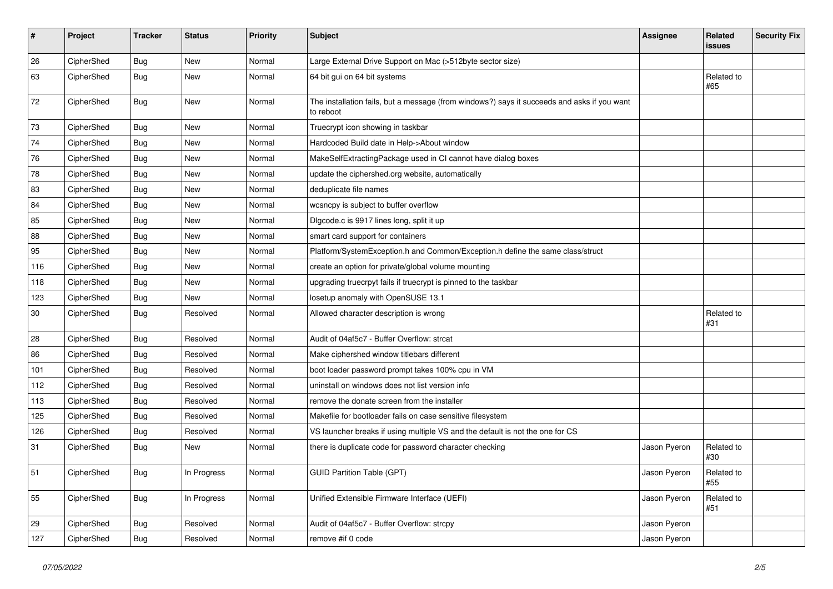| #   | Project    | <b>Tracker</b> | <b>Status</b> | Priority | Subject                                                                                                  | <b>Assignee</b> | Related<br>issues | <b>Security Fix</b> |
|-----|------------|----------------|---------------|----------|----------------------------------------------------------------------------------------------------------|-----------------|-------------------|---------------------|
| 26  | CipherShed | <b>Bug</b>     | <b>New</b>    | Normal   | Large External Drive Support on Mac (>512byte sector size)                                               |                 |                   |                     |
| 63  | CipherShed | <b>Bug</b>     | New           | Normal   | 64 bit gui on 64 bit systems                                                                             |                 | Related to<br>#65 |                     |
| 72  | CipherShed | Bug            | New           | Normal   | The installation fails, but a message (from windows?) says it succeeds and asks if you want<br>to reboot |                 |                   |                     |
| 73  | CipherShed | Bug            | New           | Normal   | Truecrypt icon showing in taskbar                                                                        |                 |                   |                     |
| 74  | CipherShed | <b>Bug</b>     | New           | Normal   | Hardcoded Build date in Help->About window                                                               |                 |                   |                     |
| 76  | CipherShed | Bug            | New           | Normal   | MakeSelfExtractingPackage used in CI cannot have dialog boxes                                            |                 |                   |                     |
| 78  | CipherShed | <b>Bug</b>     | New           | Normal   | update the ciphershed.org website, automatically                                                         |                 |                   |                     |
| 83  | CipherShed | <b>Bug</b>     | New           | Normal   | deduplicate file names                                                                                   |                 |                   |                     |
| 84  | CipherShed | Bug            | New           | Normal   | wcsncpy is subject to buffer overflow                                                                    |                 |                   |                     |
| 85  | CipherShed | <b>Bug</b>     | New           | Normal   | Digcode.c is 9917 lines long, split it up                                                                |                 |                   |                     |
| 88  | CipherShed | <b>Bug</b>     | New           | Normal   | smart card support for containers                                                                        |                 |                   |                     |
| 95  | CipherShed | <b>Bug</b>     | New           | Normal   | Platform/SystemException.h and Common/Exception.h define the same class/struct                           |                 |                   |                     |
| 116 | CipherShed | <b>Bug</b>     | New           | Normal   | create an option for private/global volume mounting                                                      |                 |                   |                     |
| 118 | CipherShed | Bug            | New           | Normal   | upgrading truecrpyt fails if truecrypt is pinned to the taskbar                                          |                 |                   |                     |
| 123 | CipherShed | <b>Bug</b>     | New           | Normal   | losetup anomaly with OpenSUSE 13.1                                                                       |                 |                   |                     |
| 30  | CipherShed | Bug            | Resolved      | Normal   | Allowed character description is wrong                                                                   |                 | Related to<br>#31 |                     |
| 28  | CipherShed | <b>Bug</b>     | Resolved      | Normal   | Audit of 04af5c7 - Buffer Overflow: strcat                                                               |                 |                   |                     |
| 86  | CipherShed | <b>Bug</b>     | Resolved      | Normal   | Make ciphershed window titlebars different                                                               |                 |                   |                     |
| 101 | CipherShed | <b>Bug</b>     | Resolved      | Normal   | boot loader password prompt takes 100% cpu in VM                                                         |                 |                   |                     |
| 112 | CipherShed | <b>Bug</b>     | Resolved      | Normal   | uninstall on windows does not list version info                                                          |                 |                   |                     |
| 113 | CipherShed | Bug            | Resolved      | Normal   | remove the donate screen from the installer                                                              |                 |                   |                     |
| 125 | CipherShed | <b>Bug</b>     | Resolved      | Normal   | Makefile for bootloader fails on case sensitive filesystem                                               |                 |                   |                     |
| 126 | CipherShed | <b>Bug</b>     | Resolved      | Normal   | VS launcher breaks if using multiple VS and the default is not the one for CS                            |                 |                   |                     |
| 31  | CipherShed | <b>Bug</b>     | New           | Normal   | there is duplicate code for password character checking                                                  | Jason Pyeron    | Related to<br>#30 |                     |
| 51  | CipherShed | <b>Bug</b>     | In Progress   | Normal   | <b>GUID Partition Table (GPT)</b>                                                                        | Jason Pyeron    | Related to<br>#55 |                     |
| 55  | CipherShed | Bug            | In Progress   | Normal   | Unified Extensible Firmware Interface (UEFI)                                                             | Jason Pyeron    | Related to<br>#51 |                     |
| 29  | CipherShed | Bug            | Resolved      | Normal   | Audit of 04af5c7 - Buffer Overflow: strcpy                                                               | Jason Pyeron    |                   |                     |
| 127 | CipherShed | <b>Bug</b>     | Resolved      | Normal   | remove #if 0 code                                                                                        | Jason Pyeron    |                   |                     |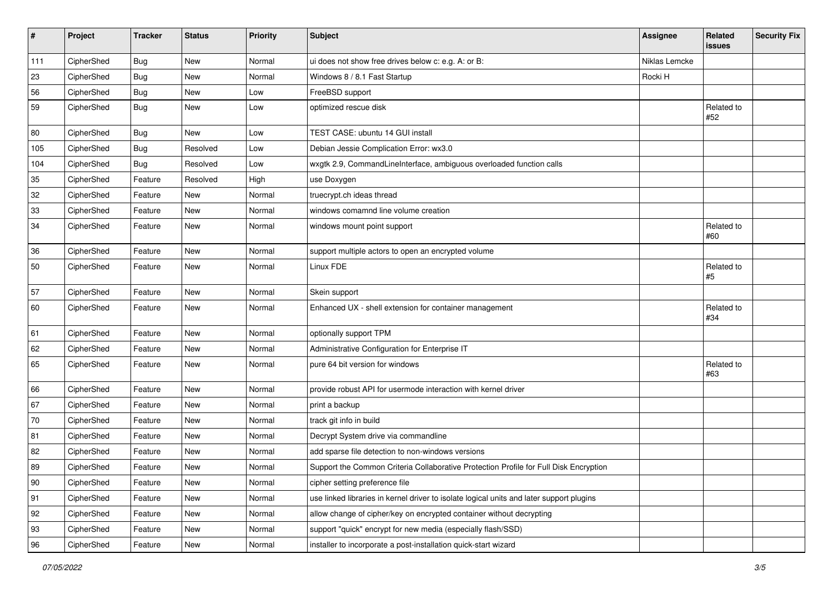| #            | Project    | <b>Tracker</b> | <b>Status</b> | <b>Priority</b> | <b>Subject</b>                                                                           | <b>Assignee</b> | Related<br>issues   | <b>Security Fix</b> |
|--------------|------------|----------------|---------------|-----------------|------------------------------------------------------------------------------------------|-----------------|---------------------|---------------------|
| 111          | CipherShed | <b>Bug</b>     | New           | Normal          | ui does not show free drives below c: e.g. A: or B:                                      | Niklas Lemcke   |                     |                     |
| 23           | CipherShed | Bug            | New           | Normal          | Windows 8 / 8.1 Fast Startup                                                             | Rocki H         |                     |                     |
| 56           | CipherShed | <b>Bug</b>     | New           | Low             | FreeBSD support                                                                          |                 |                     |                     |
| 59           | CipherShed | Bug            | New           | Low             | optimized rescue disk                                                                    |                 | Related to<br>#52   |                     |
| 80           | CipherShed | Bug            | <b>New</b>    | Low             | TEST CASE: ubuntu 14 GUI install                                                         |                 |                     |                     |
| 105          | CipherShed | <b>Bug</b>     | Resolved      | Low             | Debian Jessie Complication Error: wx3.0                                                  |                 |                     |                     |
| 104          | CipherShed | <b>Bug</b>     | Resolved      | Low             | wxgtk 2.9, CommandLineInterface, ambiguous overloaded function calls                     |                 |                     |                     |
| 35           | CipherShed | Feature        | Resolved      | High            | use Doxygen                                                                              |                 |                     |                     |
| 32           | CipherShed | Feature        | New           | Normal          | truecrypt.ch ideas thread                                                                |                 |                     |                     |
| $33\,$       | CipherShed | Feature        | New           | Normal          | windows comamnd line volume creation                                                     |                 |                     |                     |
| 34           | CipherShed | Feature        | New           | Normal          | windows mount point support                                                              |                 | Related to<br>#60   |                     |
| 36           | CipherShed | Feature        | <b>New</b>    | Normal          | support multiple actors to open an encrypted volume                                      |                 |                     |                     |
| 50           | CipherShed | Feature        | New           | Normal          | Linux FDE                                                                                |                 | Related to<br>$\#5$ |                     |
| 57           | CipherShed | Feature        | New           | Normal          | Skein support                                                                            |                 |                     |                     |
| 60           | CipherShed | Feature        | New           | Normal          | Enhanced UX - shell extension for container management                                   |                 | Related to<br>#34   |                     |
| 61           | CipherShed | Feature        | <b>New</b>    | Normal          | optionally support TPM                                                                   |                 |                     |                     |
| 62           | CipherShed | Feature        | New           | Normal          | Administrative Configuration for Enterprise IT                                           |                 |                     |                     |
| 65           | CipherShed | Feature        | New           | Normal          | pure 64 bit version for windows                                                          |                 | Related to<br>#63   |                     |
| 66           | CipherShed | Feature        | <b>New</b>    | Normal          | provide robust API for usermode interaction with kernel driver                           |                 |                     |                     |
| 67           | CipherShed | Feature        | New           | Normal          | print a backup                                                                           |                 |                     |                     |
| 70           | CipherShed | Feature        | New           | Normal          | track git info in build                                                                  |                 |                     |                     |
| 81           | CipherShed | Feature        | <b>New</b>    | Normal          | Decrypt System drive via commandline                                                     |                 |                     |                     |
| 82           | CipherShed | Feature        | <b>New</b>    | Normal          | add sparse file detection to non-windows versions                                        |                 |                     |                     |
| 89           | CipherShed | Feature        | New           | Normal          | Support the Common Criteria Collaborative Protection Profile for Full Disk Encryption    |                 |                     |                     |
| $ 90\rangle$ | CipherShed | Feature        | New           | Normal          | cipher setting preference file                                                           |                 |                     |                     |
| 91           | CipherShed | Feature        | New           | Normal          | use linked libraries in kernel driver to isolate logical units and later support plugins |                 |                     |                     |
| 92           | CipherShed | Feature        | New           | Normal          | allow change of cipher/key on encrypted container without decrypting                     |                 |                     |                     |
| 93           | CipherShed | Feature        | New           | Normal          | support "quick" encrypt for new media (especially flash/SSD)                             |                 |                     |                     |
| 96           | CipherShed | Feature        | New           | Normal          | installer to incorporate a post-installation quick-start wizard                          |                 |                     |                     |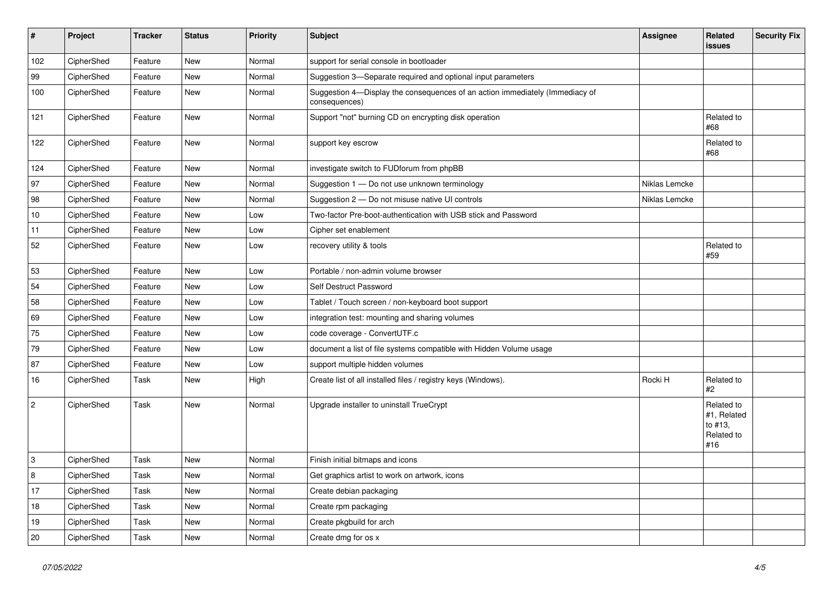| $\vert$ # | Project    | <b>Tracker</b> | <b>Status</b> | <b>Priority</b> | <b>Subject</b>                                                                                | <b>Assignee</b> | Related<br><b>issues</b>                                  | <b>Security Fix</b> |
|-----------|------------|----------------|---------------|-----------------|-----------------------------------------------------------------------------------------------|-----------------|-----------------------------------------------------------|---------------------|
| 102       | CipherShed | Feature        | <b>New</b>    | Normal          | support for serial console in bootloader                                                      |                 |                                                           |                     |
| 99        | CipherShed | Feature        | <b>New</b>    | Normal          | Suggestion 3-Separate required and optional input parameters                                  |                 |                                                           |                     |
| 100       | CipherShed | Feature        | New           | Normal          | Suggestion 4-Display the consequences of an action immediately (Immediacy of<br>consequences) |                 |                                                           |                     |
| 121       | CipherShed | Feature        | <b>New</b>    | Normal          | Support "not" burning CD on encrypting disk operation                                         |                 | Related to<br>#68                                         |                     |
| 122       | CipherShed | Feature        | New           | Normal          | support key escrow                                                                            |                 | Related to<br>#68                                         |                     |
| 124       | CipherShed | Feature        | <b>New</b>    | Normal          | investigate switch to FUDforum from phpBB                                                     |                 |                                                           |                     |
| 97        | CipherShed | Feature        | New           | Normal          | Suggestion 1 - Do not use unknown terminology                                                 | Niklas Lemcke   |                                                           |                     |
| 98        | CipherShed | Feature        | <b>New</b>    | Normal          | Suggestion 2 - Do not misuse native UI controls                                               | Niklas Lemcke   |                                                           |                     |
| 10        | CipherShed | Feature        | <b>New</b>    | Low             | Two-factor Pre-boot-authentication with USB stick and Password                                |                 |                                                           |                     |
| 11        | CipherShed | Feature        | <b>New</b>    | Low             | Cipher set enablement                                                                         |                 |                                                           |                     |
| 52        | CipherShed | Feature        | <b>New</b>    | Low             | recovery utility & tools                                                                      |                 | Related to<br>#59                                         |                     |
| 53        | CipherShed | Feature        | New           | Low             | Portable / non-admin volume browser                                                           |                 |                                                           |                     |
| 54        | CipherShed | Feature        | New           | Low             | Self Destruct Password                                                                        |                 |                                                           |                     |
| 58        | CipherShed | Feature        | <b>New</b>    | Low             | Tablet / Touch screen / non-keyboard boot support                                             |                 |                                                           |                     |
| 69        | CipherShed | Feature        | <b>New</b>    | Low             | integration test: mounting and sharing volumes                                                |                 |                                                           |                     |
| 75        | CipherShed | Feature        | <b>New</b>    | Low             | code coverage - ConvertUTF.c                                                                  |                 |                                                           |                     |
| 79        | CipherShed | Feature        | <b>New</b>    | Low             | document a list of file systems compatible with Hidden Volume usage                           |                 |                                                           |                     |
| 87        | CipherShed | Feature        | <b>New</b>    | Low             | support multiple hidden volumes                                                               |                 |                                                           |                     |
| 16        | CipherShed | Task           | <b>New</b>    | High            | Create list of all installed files / registry keys (Windows).                                 | Rocki H         | Related to<br>#2                                          |                     |
| $\vert$ 2 | CipherShed | Task           | New           | Normal          | Upgrade installer to uninstall TrueCrypt                                                      |                 | Related to<br>#1, Related<br>to #13,<br>Related to<br>#16 |                     |
| 3         | CipherShed | Task           | <b>New</b>    | Normal          | Finish initial bitmaps and icons                                                              |                 |                                                           |                     |
| 8         | CipherShed | Task           | <b>New</b>    | Normal          | Get graphics artist to work on artwork, icons                                                 |                 |                                                           |                     |
| 17        | CipherShed | Task           | <b>New</b>    | Normal          | Create debian packaging                                                                       |                 |                                                           |                     |
| 18        | CipherShed | Task           | New           | Normal          | Create rpm packaging                                                                          |                 |                                                           |                     |
| 19        | CipherShed | Task           | <b>New</b>    | Normal          | Create pkgbuild for arch                                                                      |                 |                                                           |                     |
| 20        | CipherShed | Task           | New           | Normal          | Create dmg for os x                                                                           |                 |                                                           |                     |